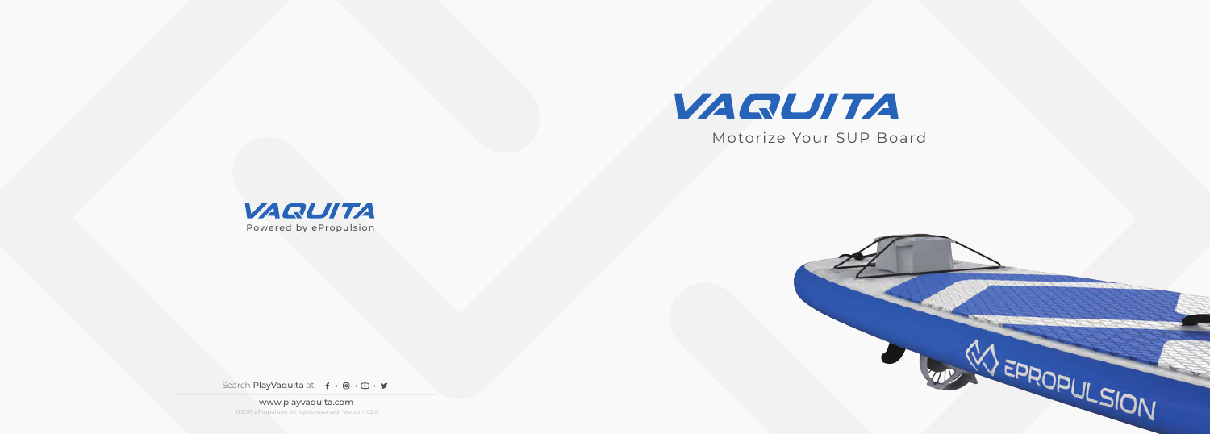

Motorize Your SUP Board





Search PlayVaquita at  $f$  0 0 9

www.playvaquita.com @2019 ePropulsion All rights reserved. Version: V2.0